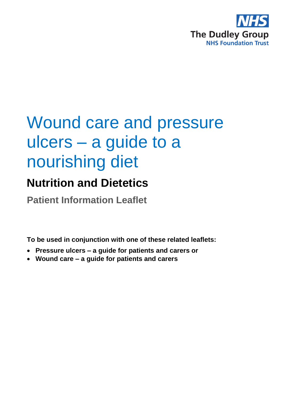

# Wound care and pressure ulcers – a guide to a nourishing diet

# **Nutrition and Dietetics**

**Patient Information Leaflet**

**To be used in conjunction with one of these related leaflets:**

- **Pressure ulcers – a guide for patients and carers or**
- **Wound care – a guide for patients and carers**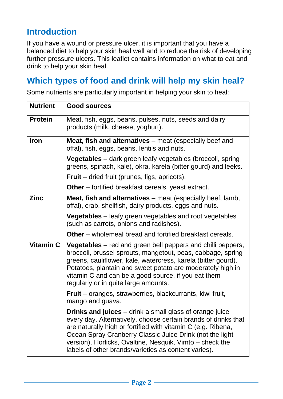# **Introduction**

If you have a wound or pressure ulcer, it is important that you have a balanced diet to help your skin heal well and to reduce the risk of developing further pressure ulcers. This leaflet contains information on what to eat and drink to help your skin heal.

# **Which types of food and drink will help my skin heal?**

Some nutrients are particularly important in helping your skin to heal:

| <b>Nutrient</b>  | <b>Good sources</b>                                                                                                                                                                                                                                                                                                                                                              |
|------------------|----------------------------------------------------------------------------------------------------------------------------------------------------------------------------------------------------------------------------------------------------------------------------------------------------------------------------------------------------------------------------------|
| <b>Protein</b>   | Meat, fish, eggs, beans, pulses, nuts, seeds and dairy<br>products (milk, cheese, yoghurt).                                                                                                                                                                                                                                                                                      |
| <b>Iron</b>      | <b>Meat, fish and alternatives</b> – meat (especially beef and<br>offal), fish, eggs, beans, lentils and nuts.                                                                                                                                                                                                                                                                   |
|                  | <b>Vegetables</b> – dark green leafy vegetables (broccoli, spring<br>greens, spinach, kale), okra, karela (bitter gourd) and leeks.                                                                                                                                                                                                                                              |
|                  | <b>Fruit</b> – dried fruit (prunes, figs, apricots).                                                                                                                                                                                                                                                                                                                             |
|                  | <b>Other</b> – fortified breakfast cereals, yeast extract.                                                                                                                                                                                                                                                                                                                       |
| <b>Zinc</b>      | <b>Meat, fish and alternatives</b> – meat (especially beef, lamb,<br>offal), crab, shellfish, dairy products, eggs and nuts.                                                                                                                                                                                                                                                     |
|                  | <b>Vegetables</b> – leafy green vegetables and root vegetables<br>(such as carrots, onions and radishes).                                                                                                                                                                                                                                                                        |
|                  | <b>Other</b> – wholemeal bread and fortified breakfast cereals.                                                                                                                                                                                                                                                                                                                  |
| <b>Vitamin C</b> | <b>Vegetables</b> – red and green bell peppers and chilli peppers,<br>broccoli, brussel sprouts, mangetout, peas, cabbage, spring<br>greens, cauliflower, kale, watercress, karela (bitter gourd).<br>Potatoes, plantain and sweet potato are moderately high in<br>vitamin C and can be a good source, if you eat them<br>regularly or in quite large amounts.                  |
|                  | Fruit - oranges, strawberries, blackcurrants, kiwi fruit,<br>mango and guava.                                                                                                                                                                                                                                                                                                    |
|                  | <b>Drinks and juices</b> – drink a small glass of orange juice<br>every day. Alternatively, choose certain brands of drinks that<br>are naturally high or fortified with vitamin C (e.g. Ribena,<br>Ocean Spray Cranberry Classic Juice Drink (not the light<br>version), Horlicks, Ovaltine, Nesquik, Vimto – check the<br>labels of other brands/varieties as content varies). |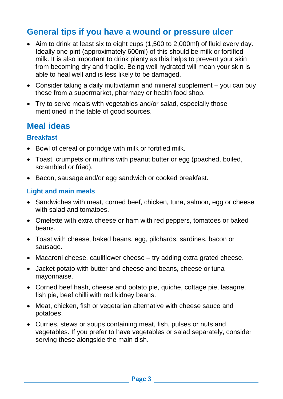# **General tips if you have a wound or pressure ulcer**

- Aim to drink at least six to eight cups (1,500 to 2,000ml) of fluid every day. Ideally one pint (approximately 600ml) of this should be milk or fortified milk. It is also important to drink plenty as this helps to prevent your skin from becoming dry and fragile. Being well hydrated will mean your skin is able to heal well and is less likely to be damaged.
- Consider taking a daily multivitamin and mineral supplement you can buy these from a supermarket, pharmacy or health food shop.
- Try to serve meals with vegetables and/or salad, especially those mentioned in the table of good sources.

# **Meal ideas**

#### **Breakfast**

- Bowl of cereal or porridge with milk or fortified milk.
- Toast, crumpets or muffins with peanut butter or egg (poached, boiled, scrambled or fried).
- Bacon, sausage and/or egg sandwich or cooked breakfast.

#### **Light and main meals**

- Sandwiches with meat, corned beef, chicken, tuna, salmon, egg or cheese with salad and tomatoes.
- Omelette with extra cheese or ham with red peppers, tomatoes or baked beans.
- Toast with cheese, baked beans, egg, pilchards, sardines, bacon or sausage.
- Macaroni cheese, cauliflower cheese try adding extra grated cheese.
- Jacket potato with butter and cheese and beans, cheese or tuna mayonnaise.
- Corned beef hash, cheese and potato pie, quiche, cottage pie, lasagne, fish pie, beef chilli with red kidney beans.
- Meat, chicken, fish or vegetarian alternative with cheese sauce and potatoes.
- Curries, stews or soups containing meat, fish, pulses or nuts and vegetables. If you prefer to have vegetables or salad separately, consider serving these alongside the main dish.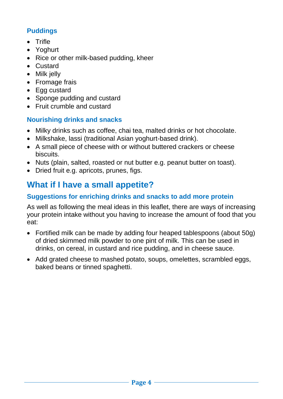## **Puddings**

- Trifle
- Yoghurt
- Rice or other milk-based pudding, kheer
- Custard
- Milk jelly
- Fromage frais
- Egg custard
- Sponge pudding and custard
- Fruit crumble and custard

### **Nourishing drinks and snacks**

- Milky drinks such as coffee, chai tea, malted drinks or hot chocolate.
- Milkshake, lassi (traditional Asian yoghurt-based drink).
- A small piece of cheese with or without buttered crackers or cheese biscuits.
- Nuts (plain, salted, roasted or nut butter e.g. peanut butter on toast).
- Dried fruit e.g. apricots, prunes, figs.

# **What if I have a small appetite?**

#### **Suggestions for enriching drinks and snacks to add more protein**

As well as following the meal ideas in this leaflet, there are ways of increasing your protein intake without you having to increase the amount of food that you eat:

- Fortified milk can be made by adding four heaped tablespoons (about 50g) of dried skimmed milk powder to one pint of milk. This can be used in drinks, on cereal, in custard and rice pudding, and in cheese sauce.
- Add grated cheese to mashed potato, soups, omelettes, scrambled eggs, baked beans or tinned spaghetti.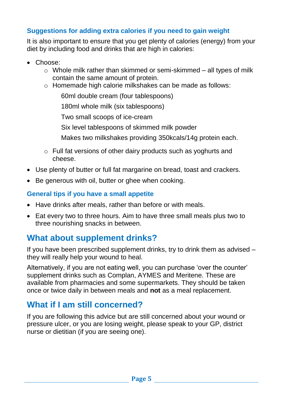#### **Suggestions for adding extra calories if you need to gain weight**

It is also important to ensure that you get plenty of calories (energy) from your diet by including food and drinks that are high in calories:

- Choose:
	- o Whole milk rather than skimmed or semi-skimmed all types of milk contain the same amount of protein.
	- o Homemade high calorie milkshakes can be made as follows:

60ml double cream (four tablespoons)

180ml whole milk (six tablespoons)

Two small scoops of ice-cream

Six level tablespoons of skimmed milk powder

Makes two milkshakes providing 350kcals/14g protein each.

- o Full fat versions of other dairy products such as yoghurts and cheese.
- Use plenty of butter or full fat margarine on bread, toast and crackers.
- Be generous with oil, butter or ghee when cooking.

#### **General tips if you have a small appetite**

- Have drinks after meals, rather than before or with meals.
- Eat every two to three hours. Aim to have three small meals plus two to three nourishing snacks in between.

# **What about supplement drinks?**

If you have been prescribed supplement drinks, try to drink them as advised – they will really help your wound to heal.

Alternatively, if you are not eating well, you can purchase 'over the counter' supplement drinks such as Complan, AYMES and Meritene. These are available from pharmacies and some supermarkets. They should be taken once or twice daily in between meals and **not** as a meal replacement.

# **What if I am still concerned?**

If you are following this advice but are still concerned about your wound or pressure ulcer, or you are losing weight, please speak to your GP, district nurse or dietitian (if you are seeing one).